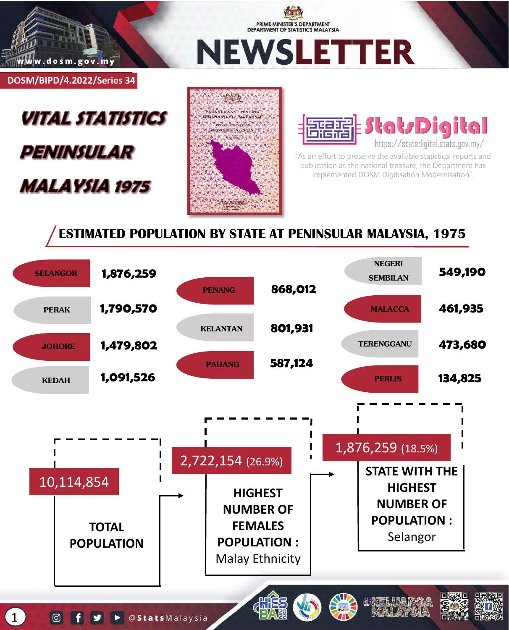

PRIME MINISTER'S DEPARTMENT DEPARTMENT OF STATISTICS MALAYSIA

**NEWSLETTER** 

**DOSM/BIPD/4.2022/Series 34**

# **VITAL STATISTICS PENINSULAR MALAYSIA 1975**





"As an effort to preserve the available statistical reports and publication as the national treasure, the Department has implemented DOSM Digitisation Modernisation".

## **ESTIMATED POPULATION BY STATE AT PENINSULAR MALAYSIA, 1975**

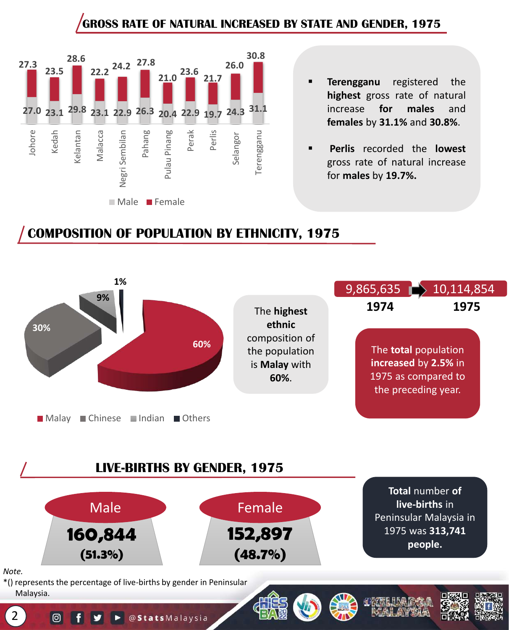## **GROSS RATE OF NATURAL INCREASED BY STATE AND GENDER, 1975**



- **Terengganu** registered the **highest** gross rate of natural increase **for males** and **females** by **31.1%** and **30.8%**.
- **Perlis** recorded the **lowest** gross rate of natural increase for **males** by **19.7%.**

## **COMPOSITION OF POPULATION BY ETHNICITY, 1975**